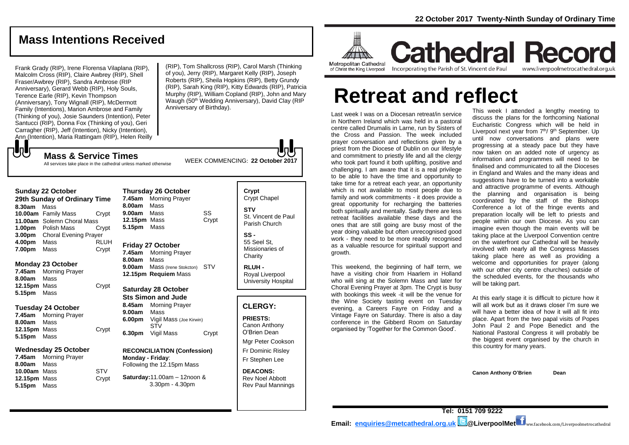# **Mass Intentions Received**

Frank Grady (RIP), Irene Florensa Vilaplana (RIP), Malcolm Cross (RIP), Claire Awbrey (RIP), Shell Fraser/Awbrey (RIP), Sandra Ambrose (RIP Anniversary), Gerard Webb (RIP), Holy Souls, Terence Earle (RIP), Kevin Thompson (Anniversary), Tony Wignall (RIP), McDermott Family (Intentions), Marion Ambrose and Family (Thinking of you), Josie Saunders (Intention), Peter Santucci (RIP), Donna Fox (Thinking of you), Geri Carragher (RIP), Jeff (Intention), Nicky (Intention), Ann (Intention), Maria Rattingam (RIP), Helen Reilly

(RIP), Tom Shallcross (RIP), Carol Marsh (Thinking of you), Jerry (RIP), Margaret Kelly (RIP), Joseph Roberts (RIP), Sheila Hopkins (RIP), Betty Grundy (RIP), Sarah King (RIP), Kitty Edwards (RIP), Patricia Murphy (RIP), William Copland (RIP), John and Mary Waugh (50<sup>th</sup> Wedding Anniversary), David Clay (RIP Anniversary of Birthday).

WEEK COMMENCING: **<sup>22</sup> October <sup>2017</sup> Mass & Service Times** All services take place in the cathedral unless marked otherwise

| <b>Sunday 22 October</b>     |                              |       |  |  |
|------------------------------|------------------------------|-------|--|--|
| 29th Sunday of Ordinary Time |                              |       |  |  |
| 8.30am                       | Mass                         |       |  |  |
|                              | 10.00am Family Mass          | Crypt |  |  |
|                              | 11.00am Solemn Choral Mass   |       |  |  |
| 1.00 <sub>pm</sub>           | <b>Polish Mass</b>           | Crypt |  |  |
| 3.00 <sub>pm</sub>           | <b>Choral Evening Prayer</b> |       |  |  |
| 4.00pm                       | Mass                         | RLUH  |  |  |
| 7.00pm                       | Mass                         | Crypt |  |  |

#### **Monday 23 October**

でし

**7.45am** Morning Prayer **8.00am** Mass 12.15pm Mass Crypt **5.15pm** Mass

#### **Tuesday 24 October**

**7.45am** Morning Prayer **8.00am** Mass **12.15pm** Mass Crypt **5.15pm** Mass

#### **Wednesday 25 October**

**7.45am** Morning Prayer **8.00am** Mass **10.00am** MassSTV **12.15pm** Mass Crypt **5.15pm** Mass

|                            | Thursday zo October          |       |  |
|----------------------------|------------------------------|-------|--|
| 7.45am                     | <b>Morning Prayer</b>        |       |  |
| 8.00am                     | Mass                         |       |  |
| 9.00am Mass                |                              | SS    |  |
| 12.15pm Mass               |                              | Crypt |  |
| 5.15pm                     | Mass                         |       |  |
|                            |                              |       |  |
| <b>Friday 27 October</b>   |                              |       |  |
|                            | 7.45am Morning Prayer        |       |  |
| 8.00am Mass                |                              |       |  |
|                            | 9.00am Mass (Irene Stokcton) | STV   |  |
|                            | 12.15pm Requiem Mass         |       |  |
|                            |                              |       |  |
| <b>Saturday 28 October</b> |                              |       |  |

**Thursday 26 October** 

#### **Sts Simon and Jude 8.45am** Morning Prayer **9.00am** Mass **6.00pm** Vigil Mass (Joe Kirwin) STV

**6.30pm** Vigil Mass Crypt **RECONCILIATION (Confession) Monday - Friday**:

# Following the 12.15pm Mass

**Saturday:**11.00am – 12noon & 3.30pm - 4.30pm

**Crypt** Crypt Chapel **STV** St. Vincent de Paul Parish Church

**SS -** 55 Seel St, Missionaries of **Charity** 

**RLUH -** Royal Liverpool University Hospital

#### **CLERGY:**

**PRIESTS:** Canon Anthony O'Brien *Dean*

Mgr Peter Cookson Fr Dominic Risley Fr Stephen Lee

**DEACONS:** Rev Noel Abbott Rev Paul Mannings



**Cathedral Record** Incorporating the Parish of St. Vincent de Paul www.liverpoolmetrocathedral.org.uk

# **Retreat and reflect**

Last week I was on a Diocesan retreat/in service in Northern Ireland which was held in a pastoral centre called Drumalis in Larne, run by Sisters of the Cross and Passion. The week included prayer conversation and reflections given by a priest from the Diocese of Dublin on our lifestyle and commitment to priestly life and all the clergy who took part found it both uplifting, positive and challenging. I am aware that it is a real privilege to be able to have the time and opportunity to take time for a retreat each year, an opportunity which is not available to most people due to family and work commitments - it does provide a great opportunity for recharging the batteries both spiritually and mentally. Sadly there are less retreat facilities available these days and the ones that are still going are busy most of the year doing valuable but often unrecognised good work - they need to be more readily recognised as a valuable resource for spiritual support and growth.

This weekend, the beginning of half term, we have a visiting choir from Haarlem in Holland who will sing at the Solemn Mass and later for Choral Evening Prayer at 3pm. The Crypt is busy with bookings this week -it will be the venue for the Wine Society tasting event on Tuesday evening, a Careers Fayre on Friday and a Vintage Fayre on Saturday. There is also a day conference in the Gibberd Room on Saturday organised by 'Together for the Common Good'.

This week I attended a lengthy meeting to discuss the plans for the forthcoming National Eucharistic Congress which will be held in Liverpool next year from 7<sup>th</sup>/ 9<sup>th</sup> September. Up until now conversations and plans were progressing at a steady pace but they have now taken on an added note of urgency as information and programmes will need to be finalised and communicated to all the Dioceses in England and Wales and the many ideas and suggestions have to be turned into a workable and attractive programme of events. Although the planning and organisation is being coordinated by the staff of the Bishops Conference a lot of the fringe events and preparation locally will be left to priests and people within our own Diocese. As you can imagine even though the main events will be taking place at the Liverpool Convention centre on the waterfront our Cathedral will be heavily involved with nearly all the Congress Masses taking place here as well as providing a welcome and opportunities for prayer (along with our other city centre churches) outside of the scheduled events, for the thousands who will be taking part.

At this early stage it is difficult to picture how it will all work but as it draws closer I'm sure we will have a better idea of how it will all fit into place. Apart from the two papal visits of Popes John Paul 2 and Pope Benedict and the National Pastoral Congress it will probably be the biggest event organised by the church in this country for many years.

**Canon Anthony O'Brien Dean**